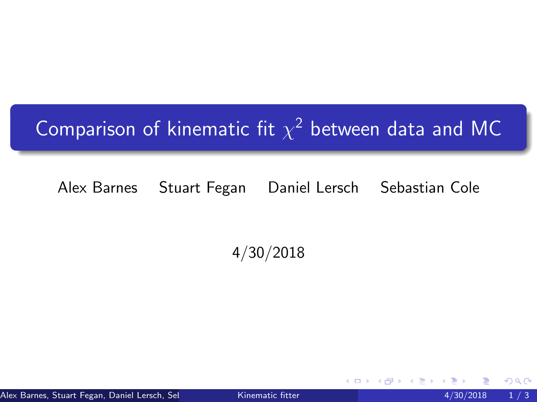## <span id="page-0-0"></span>Comparison of kinematic fit  $\chi^2$  between data and MC

## Alex Barnes Stuart Fegan Daniel Lersch Sebastian Cole

4/30/2018

Alex Barnes, Stuart Fegan, Daniel Lersch, Selates and Cole [Kinematic fitter](#page-2-0) 4000 100 4/30/2018 1 / 3

 $290$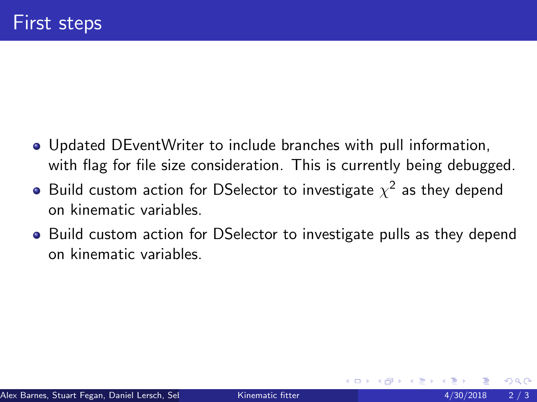- <span id="page-1-0"></span>Updated DEventWriter to include branches with pull information, with flag for file size consideration. This is currently being debugged.
- Build custom action for DSelector to investigate  $\chi^2$  as they depend on kinematic variables.
- Build custom action for DSelector to investigate pulls as they depend on kinematic variables.

 $\Omega$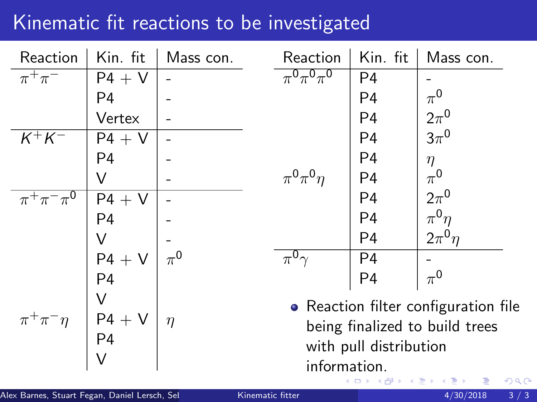## <span id="page-2-0"></span>Kinematic fit reactions to be investigated

| Reaction                        | Kin. fit         | Mass con. | Reaction          | Kin. fit                                                 | Mass con.                                            |  |
|---------------------------------|------------------|-----------|-------------------|----------------------------------------------------------|------------------------------------------------------|--|
| $\pi^+\pi^-$                    | $P4 + V$         |           | $\pi^0\pi^0\pi^0$ | P4                                                       |                                                      |  |
|                                 | P <sub>4</sub>   |           |                   | P <sub>4</sub>                                           |                                                      |  |
|                                 | Vertex           |           |                   | P <sub>4</sub>                                           | $\begin{array}{c}\n\pi^0\\2\pi^0\\3\pi^0\end{array}$ |  |
| $K^+K^-$                        | $P4 + V$         |           |                   | P <sub>4</sub>                                           |                                                      |  |
|                                 | P <sub>4</sub>   |           |                   | P <sub>4</sub>                                           | $\eta$                                               |  |
|                                 |                  |           | $\pi^0\pi^0\eta$  | P <sub>4</sub>                                           | $\pi^0$                                              |  |
| $\pi^+\pi^-\pi^0$               | $P4 + V$         |           |                   | P <sub>4</sub>                                           | $2\pi^0$                                             |  |
|                                 | P <sub>4</sub>   |           |                   | P <sub>4</sub>                                           | $\pi^0\eta$                                          |  |
|                                 | $\vee$           |           |                   | P <sub>4</sub>                                           | $2\pi^0\eta$                                         |  |
|                                 |                  |           |                   | P4<br>P4                                                 |                                                      |  |
|                                 | $P4 + V$<br>$P4$ |           |                   |                                                          | $\pi^0$                                              |  |
|                                 | $\vee$           |           |                   | • Reaction filter configuration file                     |                                                      |  |
| $\pi^+\pi^-\eta$   P4 + V<br>P4 |                  | $\eta$    |                   | being finalized to build trees<br>with pull distribution |                                                      |  |
|                                 |                  |           |                   |                                                          |                                                      |  |
|                                 | $\vee$           |           | information.      |                                                          |                                                      |  |

**← ロ → → ← 何 →** 

 $298$